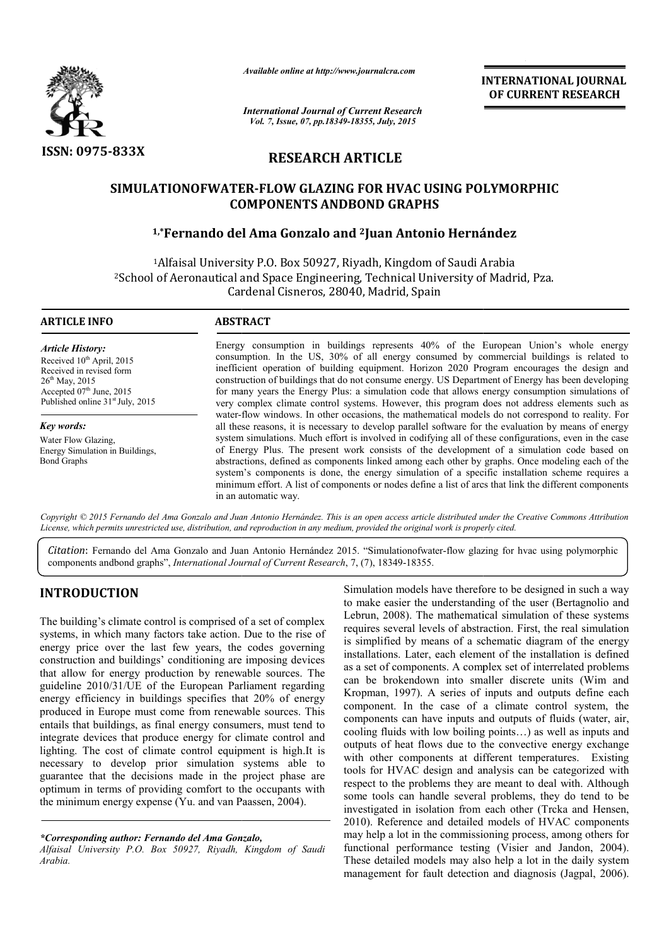

*Available online at http://www.journalcra.com*

*International Journal of Current Research Vol. 7, Issue, 07, pp.18349-18355, July, 2015*

**INTERNATIONAL INTERNATIONAL JOURNAL OF CURRENT RESEARCH** 

# **RESEARCH ARTICLE**

## **SIMULATIONOFWATER SIMULATIONOFWATER-FLOW GLAZING FOR HVAC USING POLYMORPHIC FLOW COMPONENTS ANDBOND GRAPHS**

# **1,\*Fernando del Ama Gonzalo Fernando and 2Juan Antonio Hernández**

1Alfaisal University P.O. Box 50927, Riyadh, Kingdom of Saudi Arabia 2School of Aeronautical and Space Engineering, Technical University of Madrid, Pza. Cardenal Cisneros, 28040, Madrid, Spain Alfaisal University P.O. Box 50927, Riyadh, Kingdom of Saudi Arabia<br>of Aeronautical and Space Engineering, Technical University of Madrid, Pza.<br>Cardenal Cisneros, 28040, Madrid, Spain

#### **ARTICLE INFO ABSTRACT**

*Article History:* Received 10<sup>th</sup> April, 2015 Received in revised form  $26<sup>th</sup>$  May, 2015 Accepted 07<sup>th</sup> June, 2015 Published online  $31<sup>st</sup>$  July, 2015

*Key words:* Water Flow Glazing, Energy Simulation in Buildings, Bond Graphs

Energy consumption in buildings represents 40% of the European Union's whole energy consumption. In the US, 30% of all energy consumed by commercial buildings is related to inefficient operation of building equipment. Horizon 2020 Program encourages the design and construction of buildings that do not consume energy. US Department of Energy has been developing for many years the Energy Plus: a simulation code that allows energy consumption simulations of very complex climate control systems. However, this program does not address elements such as water-flow windows. In other occasions, the mathematical models do not correspond to reality. For consumption. In the US, 30% of all energy consumed by commercial buildings is related to inefficient operation of building equipment. Horizon 2020 Program encourages the design and construction of buildings that do not con system simulations. Much effort is involved in codifying all of these configurations, even in the case of Energy Plus. The present work consists of the development of a simulation code based on system simulations. Much effort is involved in codifying all of these configurations, even in the case<br>of Energy Plus. The present work consists of the development of a simulation code based on<br>abstractions, defined as com system's components is done, the energy simulation of a specific installation scheme requires a minimum effort. A list of components or nodes define a list of arcs that link the different components in an automatic way.

Copyright © 2015 Fernando del Ama Gonzalo and Juan Antonio Hernández. This is an open access article distributed under the Creative Commons Attribution *License, which permits unrestricted use, distribution, and reproduction in any medium, provided the original work is properly cited. the original* 

*Citation*: Fernando del Ama Gonzalo and Juan Antonio Hernández 2015. "Simulationofwater-flow glazing for hvac using polymorphic flow components andbond graphs", *International Journal of Current Research* , 7, (7), 18349-18355.

# **INTRODUCTION**

The building's climate control is comprised of a set of complex systems, in which many factors take action. Due to the rise of energy price over the last few years, the codes governing construction and buildings' conditioning are imposing devices that allow for energy production by renewable sources. The guideline 2010/31/UE of the European Parliament regarding energy efficiency in buildings specifies that 20% of energy produced in Europe must come from renewable sources. This entails that buildings, as final energy consumers, must tend to integrate devices that produce energy for climate control and lighting. The cost of climate control equipment is high.It is necessary to develop prior simulation systems able to guarantee that the decisions made in the project phase are optimum in terms of providing comfort to the occupants wit the minimum energy expense (Yu. and van Paassen, 2004). or climate control and<br>equipment is high.It is<br>ion systems able to<br>the project phase are<br>to the occupants with

*\*Corresponding author: Fernando del Ama Gonzalo,* 

*Alfaisal University P.O. Box 50927, Riyadh, Kingdom of Saudi Arabia.*

Simulation models have therefore to be designed in such a way Simulation models have therefore to be designed in such a way<br>to make easier the understanding of the user (Bertagnolio and Lebrun, 2008). The mathematical simulation of these systems requires several levels of abstraction. First, the real simulation is simplified by means of a schematic diagram of the energy installations. Later, each element of the installation is defined as a set of components. A complex set of interrelated problems can be brokendown into smaller discrete units Kropman, 1997). A series of inputs and outputs define each Kropman, 1997). A series of inputs and outputs define each component. In the case of a climate control system, the components can have inputs and outputs of fluids (water, air, cooling fluids with low boiling points…) as well as inputs and outputs of heat flows due to the convective energy exchange cooling fluids with low boiling points...) as well as inputs and<br>outputs of heat flows due to the convective energy exchange<br>with other components at different temperatures. Existing tools for HVAC design and analysis can be categorized with respect to the problems they are meant to deal with. Although some tools can handle several problems, they do tend to be investigated in isolation from each other (Trcka and Hensen, 2010). Reference and detailed models of HVAC components may help a lot in the commissioning process, among others for functional performance testing (Visier and Jandon, 2004). These detailed models may also help a lot in the daily system management for fault detection and diagnosis (Jagpal, 2006). brun, 2008). The mathematical simulation of these systems<br>quires several levels of abstraction. First, the real simulation<br>simplified by means of a schematic diagram of the energy<br>tallations. Later, each element of the ins **INTERNATIONAL FOUNDAL CONTRANT CONTRANT CONTRANT CONTRANT CONTRANT CONTRANT CONTRANT CONTRANT CONTRANT CONTRANT CONTRANT (CONTRANT CONTRANT CONTRANT CONTRANT CONTRANT CONTRANT CONTRANT CONTRANT CONTRANT CONTRANT CONTRANT**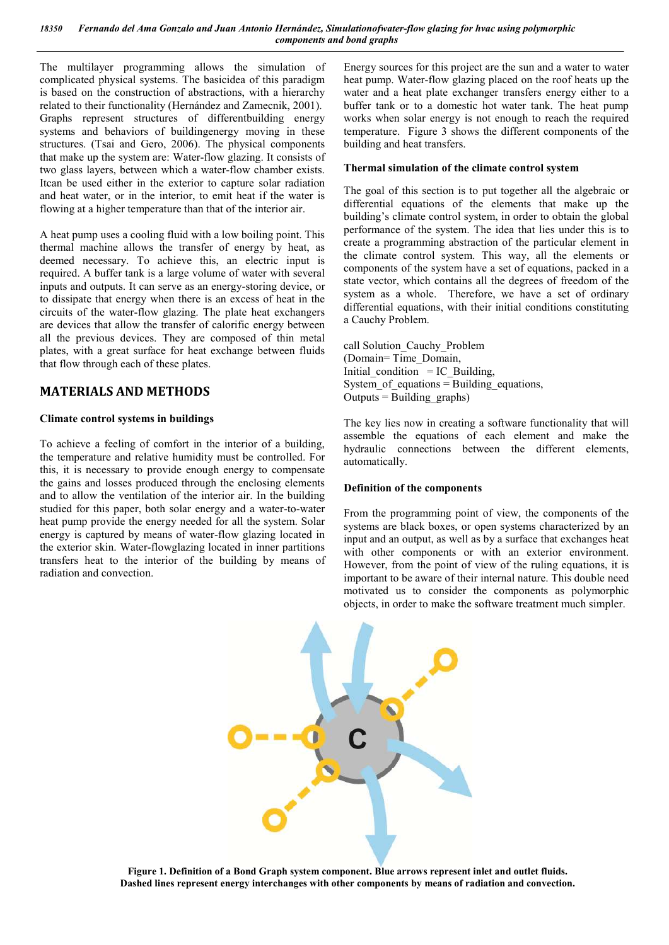The multilayer programming allows the simulation of complicated physical systems. The basicidea of this paradigm is based on the construction of abstractions, with a hierarchy related to their functionality (Hernández and Zamecnik, 2001). Graphs represent structures of differentbuilding energy systems and behaviors of buildingenergy moving in these structures. (Tsai and Gero, 2006). The physical components that make up the system are: Water-flow glazing. It consists of two glass layers, between which a water-flow chamber exists. Itcan be used either in the exterior to capture solar radiation and heat water, or in the interior, to emit heat if the water is flowing at a higher temperature than that of the interior air.

A heat pump uses a cooling fluid with a low boiling point. This thermal machine allows the transfer of energy by heat, as deemed necessary. To achieve this, an electric input is required. A buffer tank is a large volume of water with several inputs and outputs. It can serve as an energy-storing device, or to dissipate that energy when there is an excess of heat in the circuits of the water-flow glazing. The plate heat exchangers are devices that allow the transfer of calorific energy between all the previous devices. They are composed of thin metal plates, with a great surface for heat exchange between fluids that flow through each of these plates.

## **MATERIALS AND METHODS**

### **Climate control systems in buildings**

To achieve a feeling of comfort in the interior of a building, the temperature and relative humidity must be controlled. For this, it is necessary to provide enough energy to compensate the gains and losses produced through the enclosing elements and to allow the ventilation of the interior air. In the building studied for this paper, both solar energy and a water-to-water heat pump provide the energy needed for all the system. Solar energy is captured by means of water-flow glazing located in the exterior skin. Water-flowglazing located in inner partitions transfers heat to the interior of the building by means of radiation and convection.

Energy sources for this project are the sun and a water to water heat pump. Water-flow glazing placed on the roof heats up the water and a heat plate exchanger transfers energy either to a buffer tank or to a domestic hot water tank. The heat pump works when solar energy is not enough to reach the required temperature. Figure 3 shows the different components of the building and heat transfers.

### **Thermal simulation of the climate control system**

The goal of this section is to put together all the algebraic or differential equations of the elements that make up the building's climate control system, in order to obtain the global performance of the system. The idea that lies under this is to create a programming abstraction of the particular element in the climate control system. This way, all the elements or components of the system have a set of equations, packed in a state vector, which contains all the degrees of freedom of the system as a whole. Therefore, we have a set of ordinary differential equations, with their initial conditions constituting a Cauchy Problem.

call Solution\_Cauchy\_Problem (Domain= Time\_Domain, Initial condition  $=$  IC Building, System of equations  $=$  Building equations, Outputs = Building graphs)

The key lies now in creating a software functionality that will assemble the equations of each element and make the hydraulic connections between the different elements, automatically.

### **Definition of the components**

From the programming point of view, the components of the systems are black boxes, or open systems characterized by an input and an output, as well as by a surface that exchanges heat with other components or with an exterior environment. However, from the point of view of the ruling equations, it is important to be aware of their internal nature. This double need motivated us to consider the components as polymorphic objects, in order to make the software treatment much simpler.



**Figure 1. Definition of a Bond Graph system component. Blue arrows represent inlet and outlet fluids. Dashed lines represent energy interchanges with other components by means of radiation and convection.**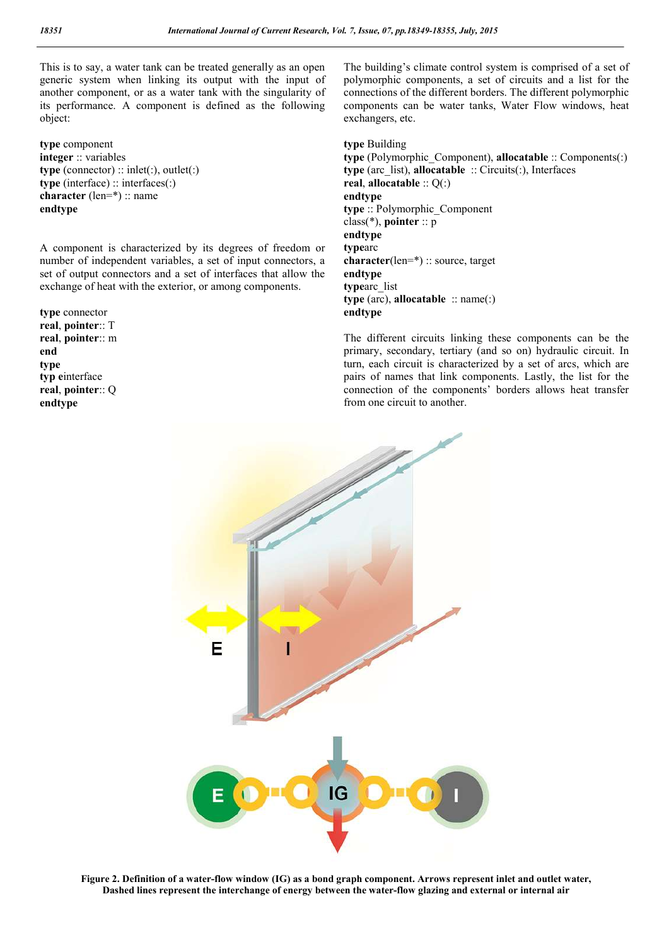This is to say, a water tank can be treated generally as an open generic system when linking its output with the input of another component, or as a water tank with the singularity of its performance. A component is defined as the following object:

**type** component **integer** :: variables **type** (connector) :: inlet(:), outlet(:) **type** (interface) :: interfaces(:) **character** (len=\*) :: name **endtype**

A component is characterized by its degrees of freedom or number of independent variables, a set of input connectors, a set of output connectors and a set of interfaces that allow the exchange of heat with the exterior, or among components.

**type** connector **real**, **pointer**:: T **real**, **pointer**:: m **end type typ e**interface **real**, **pointer**:: Q **endtype**

The building's climate control system is comprised of a set of polymorphic components, a set of circuits and a list for the connections of the different borders. The different polymorphic components can be water tanks, Water Flow windows, heat exchangers, etc.

**type** Building **type** (Polymorphic\_Component), **allocatable** :: Components(:) **type** (arc\_list), **allocatable** :: Circuits(:), Interfaces **real**, **allocatable** :: Q(:) **endtype type** :: Polymorphic\_Component class(\*), **pointer** :: p **endtype type**arc **character**(len=\*) :: source, target **endtype type**arc\_list **type** (arc), **allocatable** :: name(:) **endtype**

The different circuits linking these components can be the primary, secondary, tertiary (and so on) hydraulic circuit. In turn, each circuit is characterized by a set of arcs, which are pairs of names that link components. Lastly, the list for the connection of the components' borders allows heat transfer from one circuit to another.



**Figure 2. Definition of a water-flow window (IG) as a bond graph component. Arrows represent inlet and outlet water, Dashed lines represent the interchange of energy between the water-flow glazing and external or internal air**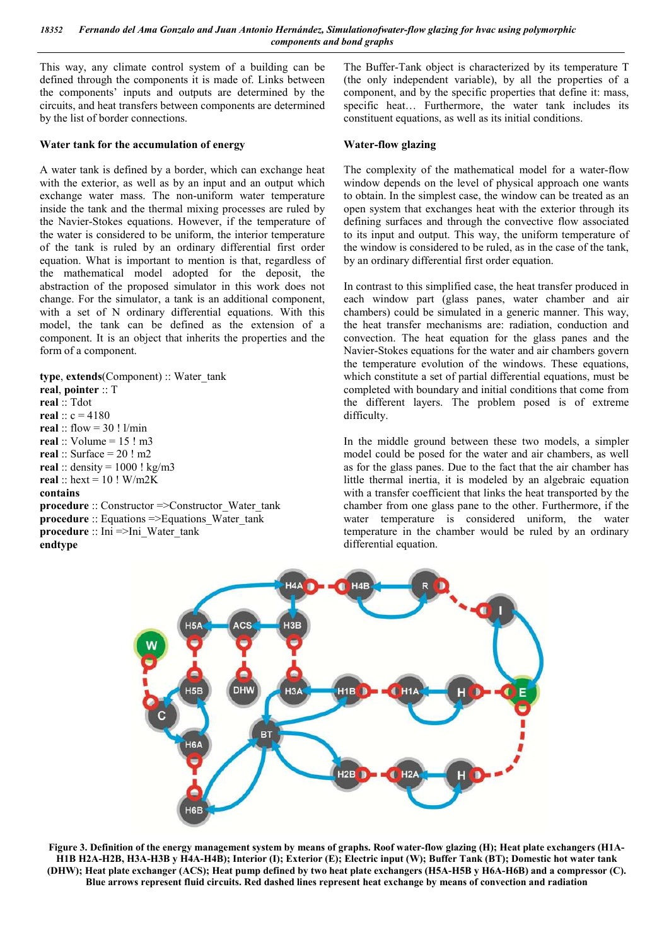This way, any climate control system of a building can be defined through the components it is made of. Links between the components' inputs and outputs are determined by the circuits, and heat transfers between components are determined by the list of border connections.

#### **Water tank for the accumulation of energy**

A water tank is defined by a border, which can exchange heat with the exterior, as well as by an input and an output which exchange water mass. The non-uniform water temperature inside the tank and the thermal mixing processes are ruled by the Navier-Stokes equations. However, if the temperature of the water is considered to be uniform, the interior temperature of the tank is ruled by an ordinary differential first order equation. What is important to mention is that, regardless of the mathematical model adopted for the deposit, the abstraction of the proposed simulator in this work does not change. For the simulator, a tank is an additional component, with a set of N ordinary differential equations. With this model, the tank can be defined as the extension of a component. It is an object that inherits the properties and the form of a component.

**type**, **extends**(Component) :: Water\_tank **real**, **pointer** :: T **real** :: Tdot **real** ::  $c = 4180$ **real**  $\cdot$  flow = 30 ! l/min **real** :: Volume = 15 ! m3 **real** :: Surface = 20 ! m2 real :: density =  $1000$  ! kg/m3 **real** :: hext = 10 ! W/m2K **contains procedure** :: Constructor =>Constructor\_Water\_tank **procedure** :: Equations =>Equations Water tank **procedure** :: Ini =>Ini\_Water\_tank **endtype**

The Buffer-Tank object is characterized by its temperature T (the only independent variable), by all the properties of a component, and by the specific properties that define it: mass, specific heat… Furthermore, the water tank includes its constituent equations, as well as its initial conditions.

#### **Water-flow glazing**

The complexity of the mathematical model for a water-flow window depends on the level of physical approach one wants to obtain. In the simplest case, the window can be treated as an open system that exchanges heat with the exterior through its defining surfaces and through the convective flow associated to its input and output. This way, the uniform temperature of the window is considered to be ruled, as in the case of the tank, by an ordinary differential first order equation.

In contrast to this simplified case, the heat transfer produced in each window part (glass panes, water chamber and air chambers) could be simulated in a generic manner. This way, the heat transfer mechanisms are: radiation, conduction and convection. The heat equation for the glass panes and the Navier-Stokes equations for the water and air chambers govern the temperature evolution of the windows. These equations, which constitute a set of partial differential equations, must be completed with boundary and initial conditions that come from the different layers. The problem posed is of extreme difficulty.

In the middle ground between these two models, a simpler model could be posed for the water and air chambers, as well as for the glass panes. Due to the fact that the air chamber has little thermal inertia, it is modeled by an algebraic equation with a transfer coefficient that links the heat transported by the chamber from one glass pane to the other. Furthermore, if the water temperature is considered uniform, the water temperature in the chamber would be ruled by an ordinary differential equation.



**Figure 3. Definition of the energy management system by means of graphs. Roof water-flow glazing (H); Heat plate exchangers (H1A-H1B H2A-H2B, H3A-H3B y H4A-H4B); Interior (I); Exterior (E); Electric input (W); Buffer Tank (BT); Domestic hot water tank (DHW); Heat plate exchanger (ACS); Heat pump defined by two heat plate exchangers (H5A-H5B y H6A-H6B) and a compressor (C). Blue arrows represent fluid circuits. Red dashed lines represent heat exchange by means of convection and radiation**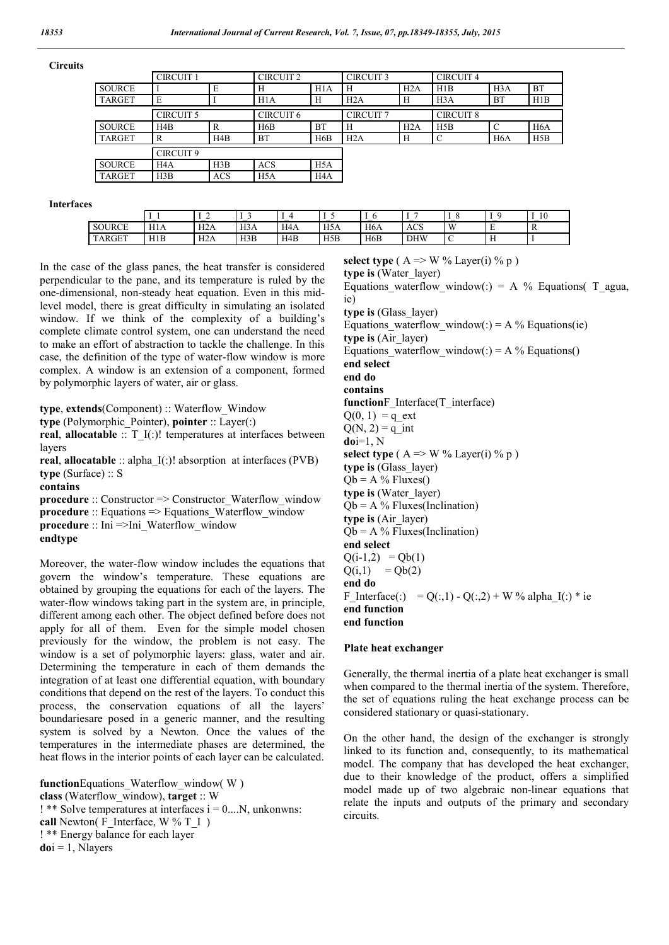**Circuits**

|               | <b>CIRCUIT 1</b>     |            | <b>CIRCUIT 2</b>     |                  | <b>CIRCUIT 3</b> |     | <b>CIRCUIT 4</b> |                  |                  |
|---------------|----------------------|------------|----------------------|------------------|------------------|-----|------------------|------------------|------------------|
| <b>SOURCE</b> |                      | E          | H                    | H1A              | H                | H2A | H1B              | H <sub>3</sub> A | <b>BT</b>        |
| <b>TARGET</b> | E                    |            | H1A                  | Н                | H2A              | Н   | H3A              | <b>BT</b>        | H1B              |
|               | <b>CIRCUIT 5</b>     |            | CIRCUIT <sub>6</sub> |                  | <b>CIRCUIT 7</b> |     | <b>CIRCUIT 8</b> |                  |                  |
| <b>SOURCE</b> | H <sub>4</sub> B     | R          | H6B                  | <b>BT</b>        | Н                | H2A | H5B              | C                | H <sub>6</sub> A |
| <b>TARGET</b> | R                    | H4B        | <b>BT</b>            | H6B              | H2A              | Н   | C                | H <sub>6</sub> A | H5B              |
|               | CIRCUIT <sub>9</sub> |            |                      |                  |                  |     |                  |                  |                  |
| <b>SOURCE</b> | H <sub>4</sub> A     | H3B        | <b>ACS</b>           | H5A              |                  |     |                  |                  |                  |
| <b>TARGET</b> | H3B                  | <b>ACS</b> | H <sub>5</sub> A     | H <sub>4</sub> A |                  |     |                  |                  |                  |

**Interfaces**

|               | $\overline{\phantom{a}}$ | $\sim$<br>- | $\sim$<br>$\overline{\phantom{a}}$ |                  |     | л.               |            |              | -<br>л.  | 10           |
|---------------|--------------------------|-------------|------------------------------------|------------------|-----|------------------|------------|--------------|----------|--------------|
| <b>SOURCE</b> | H1A                      | H2A         | H3A                                | H <sub>4</sub> A | H5A | H <sub>6</sub> A | <b>ACS</b> | $\mathbf{W}$ | . .      | $\mathbf{v}$ |
| <b>TARGET</b> | H1B                      | H2A         | H3B                                | H4B              | H5B | H6B              | <b>DHW</b> |              | $\cdots$ |              |

In the case of the glass panes, the heat transfer is considered perpendicular to the pane, and its temperature is ruled by the one-dimensional, non-steady heat equation. Even in this midlevel model, there is great difficulty in simulating an isolated window. If we think of the complexity of a building's complete climate control system, one can understand the need to make an effort of abstraction to tackle the challenge. In this case, the definition of the type of water-flow window is more complex. A window is an extension of a component, formed by polymorphic layers of water, air or glass.

**type**, **extends**(Component) :: Waterflow\_Window

**type** (Polymorphic\_Pointer), **pointer** :: Layer(:)

**real, allocatable** :: T\_I(:)! temperatures at interfaces between layers

**real**, **allocatable** :: alpha\_I(:)! absorption at interfaces (PVB) **type** (Surface) :: S

**contains**

**procedure** :: Constructor => Constructor\_Waterflow\_window **procedure** :: Equations => Equations Waterflow window **procedure** :: Ini =>Ini\_Waterflow\_window **endtype**

Moreover, the water-flow window includes the equations that govern the window's temperature. These equations are obtained by grouping the equations for each of the layers. The water-flow windows taking part in the system are, in principle, different among each other. The object defined before does not apply for all of them. Even for the simple model chosen previously for the window, the problem is not easy. The window is a set of polymorphic layers: glass, water and air. Determining the temperature in each of them demands the integration of at least one differential equation, with boundary conditions that depend on the rest of the layers. To conduct this process, the conservation equations of all the layers' boundariesare posed in a generic manner, and the resulting system is solved by a Newton. Once the values of the temperatures in the intermediate phases are determined, the heat flows in the interior points of each layer can be calculated.

**function**Equations Waterflow window( W ) **class** (Waterflow\_window), **target** :: W  $!$  \*\* Solve temperatures at interfaces  $i = 0...N$ , unkonwns: **call** Newton( $F$  Interface, W %  $T$  I) ! \*\* Energy balance for each layer  $\textbf{doi} = 1$ , Nlayers

**select type** ( $A \Rightarrow W$  % Layer(i) % p) **type is** (Water\_layer) Equations waterflow window(:) = A % Equations( T\_agua, ie) **type is** (Glass\_layer) Equations waterflow window(:) = A % Equations(ie) **type is** (Air\_layer) Equations waterflow window(:) = A % Equations() **end select end do contains function**F\_Interface(T\_interface)  $Q(0, 1) = q$  ext  $Q(N, 2) = q$  int **do**i=1, N **select type** ( $A \Rightarrow W$ % Layer(i) % p) **type is** (Glass\_layer)  $Qb = A$  % Fluxes() **type is** (Water\_layer)  $Qb = A$  % Fluxes(Inclination) **type is** (Air\_layer)  $Qb = A$  % Fluxes(Inclination) **end select**  $Q(i-1,2) = Qb(1)$  $Q(i,1) = Qb(2)$ **end do** F Interface(:) = Q(:,1) - Q(:,2) + W % alpha\_I(:) \* ie **end function end function**

#### **Plate heat exchanger**

Generally, the thermal inertia of a plate heat exchanger is small when compared to the thermal inertia of the system. Therefore, the set of equations ruling the heat exchange process can be considered stationary or quasi-stationary.

On the other hand, the design of the exchanger is strongly linked to its function and, consequently, to its mathematical model. The company that has developed the heat exchanger, due to their knowledge of the product, offers a simplified model made up of two algebraic non-linear equations that relate the inputs and outputs of the primary and secondary circuits.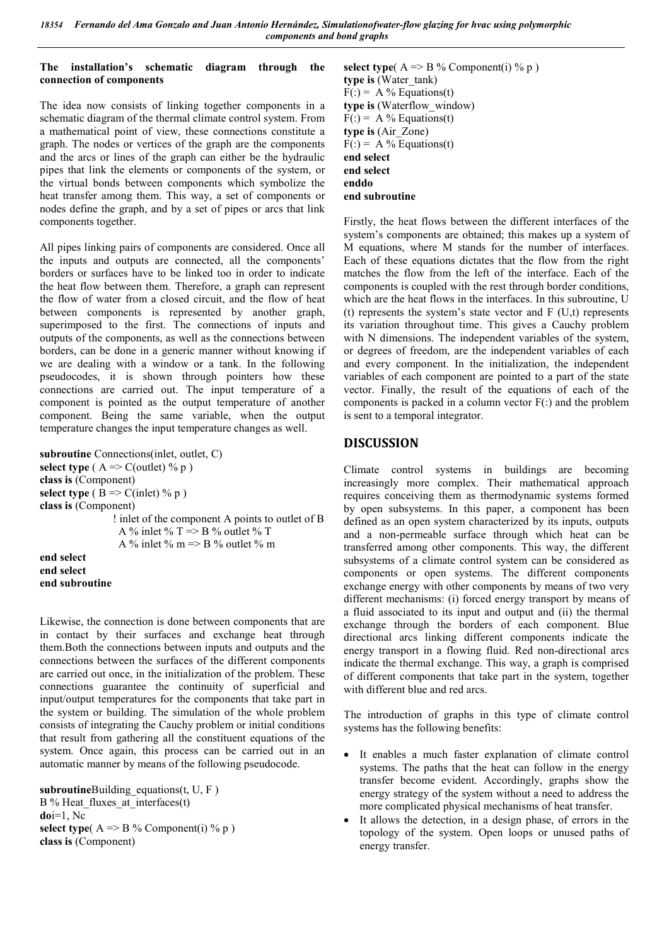## **The installation's schematic diagram through the connection of components**

The idea now consists of linking together components in a schematic diagram of the thermal climate control system. From a mathematical point of view, these connections constitute a graph. The nodes or vertices of the graph are the components and the arcs or lines of the graph can either be the hydraulic pipes that link the elements or components of the system, or the virtual bonds between components which symbolize the heat transfer among them. This way, a set of components or nodes define the graph, and by a set of pipes or arcs that link components together.

All pipes linking pairs of components are considered. Once all the inputs and outputs are connected, all the components' borders or surfaces have to be linked too in order to indicate the heat flow between them. Therefore, a graph can represent the flow of water from a closed circuit, and the flow of heat between components is represented by another graph, superimposed to the first. The connections of inputs and outputs of the components, as well as the connections between borders, can be done in a generic manner without knowing if we are dealing with a window or a tank. In the following pseudocodes, it is shown through pointers how these connections are carried out. The input temperature of a component is pointed as the output temperature of another component. Being the same variable, when the output temperature changes the input temperature changes as well.

```
subroutine Connections(inlet, outlet, C) 
select type (A \Rightarrow C(outlet) % p)
class is (Component)
select type (B \Rightarrow C(inlet) % p)
class is (Component)
                  ! inlet of the component A points to outlet of B
                  A % inlet % T \Rightarrow B % outlet % T
                  A % inlet % m \approx B % outlet % m
end select
end select
end subroutine
```
Likewise, the connection is done between components that are in contact by their surfaces and exchange heat through them.Both the connections between inputs and outputs and the connections between the surfaces of the different components are carried out once, in the initialization of the problem. These connections guarantee the continuity of superficial and input/output temperatures for the components that take part in the system or building. The simulation of the whole problem consists of integrating the Cauchy problem or initial conditions that result from gathering all the constituent equations of the system. Once again, this process can be carried out in an automatic manner by means of the following pseudocode.

**subroutine**Building equations $(t, U, F)$ B % Heat fluxes at interfaces(t) **do**i=1, Nc **select type**( $A \Rightarrow B \%$  Component(i) % p) **class is** (Component)

**select type**( $A \Rightarrow B$ % Component(i) % p) **type is** (Water\_tank)  $F(.) = A\% Equations(t)$ **type is** (Waterflow\_window)  $F(.) = A \% Equations(t)$ **type is** (Air\_Zone)  $F(.) = A \% Equation(s(t))$ **end select end select enddo end subroutine**

Firstly, the heat flows between the different interfaces of the system's components are obtained; this makes up a system of M equations, where M stands for the number of interfaces. Each of these equations dictates that the flow from the right matches the flow from the left of the interface. Each of the components is coupled with the rest through border conditions, which are the heat flows in the interfaces. In this subroutine, U (t) represents the system's state vector and  $F(U,t)$  represents its variation throughout time. This gives a Cauchy problem with N dimensions. The independent variables of the system, or degrees of freedom, are the independent variables of each and every component. In the initialization, the independent variables of each component are pointed to a part of the state vector. Finally, the result of the equations of each of the components is packed in a column vector  $F($ :) and the problem is sent to a temporal integrator.

# **DISCUSSION**

Climate control systems in buildings are becoming increasingly more complex. Their mathematical approach requires conceiving them as thermodynamic systems formed by open subsystems. In this paper, a component has been defined as an open system characterized by its inputs, outputs and a non-permeable surface through which heat can be transferred among other components. This way, the different subsystems of a climate control system can be considered as components or open systems. The different components exchange energy with other components by means of two very different mechanisms: (i) forced energy transport by means of a fluid associated to its input and output and (ii) the thermal exchange through the borders of each component. Blue directional arcs linking different components indicate the energy transport in a flowing fluid. Red non-directional arcs indicate the thermal exchange. This way, a graph is comprised of different components that take part in the system, together with different blue and red arcs.

The introduction of graphs in this type of climate control systems has the following benefits:

- It enables a much faster explanation of climate control systems. The paths that the heat can follow in the energy transfer become evident. Accordingly, graphs show the energy strategy of the system without a need to address the more complicated physical mechanisms of heat transfer.
- It allows the detection, in a design phase, of errors in the topology of the system. Open loops or unused paths of energy transfer.